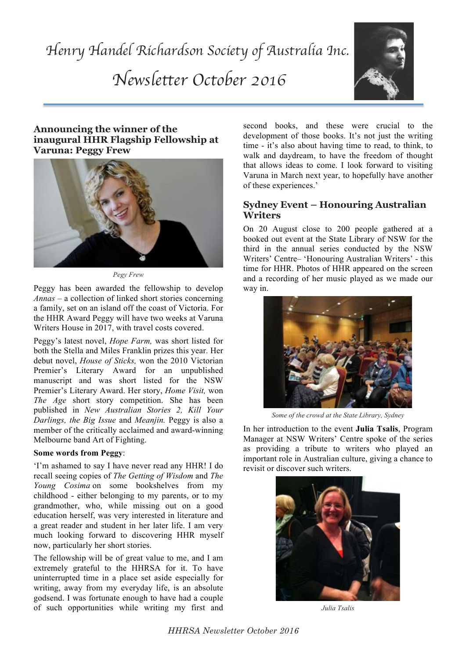

### **Announcing the winner of the inaugural HHR Flagship Fellowship at Varuna: Peggy Frew**



*Pegy Frew*

Peggy has been awarded the fellowship to develop *Annas* – a collection of linked short stories concerning a family, set on an island off the coast of Victoria. For the HHR Award Peggy will have two weeks at Varuna Writers House in 2017, with travel costs covered.

Peggy's latest novel, *Hope Farm,* was short listed for both the Stella and Miles Franklin prizes this year. Her debut novel, *House of Sticks,* won the 2010 Victorian Premier's Literary Award for an unpublished manuscript and was short listed for the NSW Premier's Literary Award. Her story, *Home Visit,* won *The Age* short story competition. She has been published in *New Australian Stories 2, Kill Your Darlings, the Big Issue* and *Meanjin.* Peggy is also a member of the critically acclaimed and award-winning Melbourne band Art of Fighting.

#### **Some words from Peggy**:

'I'm ashamed to say I have never read any HHR! I do recall seeing copies of *The Getting of Wisdom* and *The Young Cosima* on some bookshelves from my childhood - either belonging to my parents, or to my grandmother, who, while missing out on a good education herself, was very interested in literature and a great reader and student in her later life. I am very much looking forward to discovering HHR myself now, particularly her short stories.

The fellowship will be of great value to me, and I am extremely grateful to the HHRSA for it. To have uninterrupted time in a place set aside especially for writing, away from my everyday life, is an absolute godsend. I was fortunate enough to have had a couple of such opportunities while writing my first and second books, and these were crucial to the development of those books. It's not just the writing time - it's also about having time to read, to think, to walk and daydream, to have the freedom of thought that allows ideas to come. I look forward to visiting Varuna in March next year, to hopefully have another of these experiences.'

### **Sydney Event – Honouring Australian Writers**

On 20 August close to 200 people gathered at a booked out event at the State Library of NSW for the third in the annual series conducted by the NSW Writers' Centre– 'Honouring Australian Writers' - this time for HHR. Photos of HHR appeared on the screen and a recording of her music played as we made our way in.



*Some of the crowd at the State Library, Sydney*

In her introduction to the event **Julia Tsalis**, Program Manager at NSW Writers' Centre spoke of the series as providing a tribute to writers who played an important role in Australian culture, giving a chance to revisit or discover such writers.



*Julia Tsalis*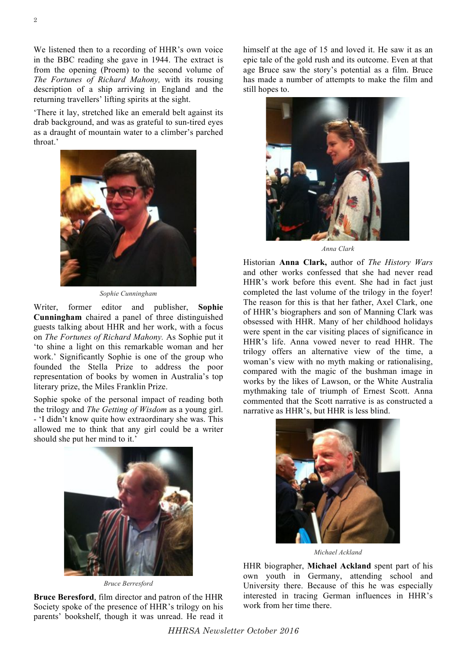2

returning travellers' lifting spirits at the sight. 'There it lay, stretched like an emerald belt against its drab background, and was as grateful to sun-tired eyes as a draught of mountain water to a climber's parched throat.'

description of a ship arriving in England and the



*Sophie Cunningham*

Writer, former editor and publisher, **Sophie Cunningham** chaired a panel of three distinguished guests talking about HHR and her work, with a focus on *The Fortunes of Richard Mahony.* As Sophie put it 'to shine a light on this remarkable woman and her work.' Significantly Sophie is one of the group who founded the Stella Prize to address the poor representation of books by women in Australia's top literary prize, the Miles Franklin Prize.

Sophie spoke of the personal impact of reading both the trilogy and *The Getting of Wisdom* as a young girl. - 'I didn't know quite how extraordinary she was. This allowed me to think that any girl could be a writer should she put her mind to it.'



*Bruce Berresford*

**Bruce Beresford**, film director and patron of the HHR Society spoke of the presence of HHR's trilogy on his parents' bookshelf, though it was unread. He read it himself at the age of 15 and loved it. He saw it as an epic tale of the gold rush and its outcome. Even at that age Bruce saw the story's potential as a film. Bruce has made a number of attempts to make the film and still hopes to.



*Anna Clark*

Historian **Anna Clark,** author of *The History Wars* and other works confessed that she had never read HHR's work before this event. She had in fact just completed the last volume of the trilogy in the foyer! The reason for this is that her father, Axel Clark, one of HHR's biographers and son of Manning Clark was obsessed with HHR. Many of her childhood holidays were spent in the car visiting places of significance in HHR's life. Anna vowed never to read HHR. The trilogy offers an alternative view of the time, a woman's view with no myth making or rationalising, compared with the magic of the bushman image in works by the likes of Lawson, or the White Australia mythmaking tale of triumph of Ernest Scott. Anna commented that the Scott narrative is as constructed a narrative as HHR's, but HHR is less blind.



*Michael Ackland*

HHR biographer, **Michael Ackland** spent part of his own youth in Germany, attending school and University there. Because of this he was especially interested in tracing German influences in HHR's work from her time there.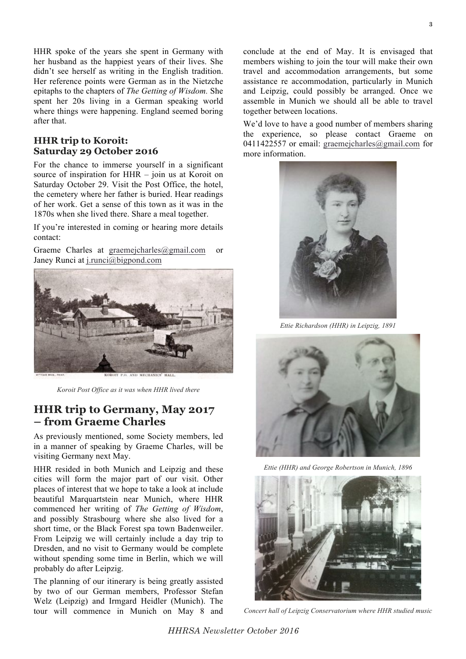HHR spoke of the years she spent in Germany with her husband as the happiest years of their lives. She didn't see herself as writing in the English tradition. Her reference points were German as in the Nietzche epitaphs to the chapters of *The Getting of Wisdom.* She spent her 20s living in a German speaking world where things were happening. England seemed boring after that.

#### **HHR trip to Koroit: Saturday 29 October 2016**

For the chance to immerse yourself in a significant source of inspiration for HHR – join us at Koroit on Saturday October 29. Visit the Post Office, the hotel, the cemetery where her father is buried. Hear readings of her work. Get a sense of this town as it was in the 1870s when she lived there. Share a meal together.

If you're interested in coming or hearing more details contact:

Graeme Charles at graemejcharles@gmail.com or Janey Runci at j.runci@bigpond.com



*Koroit Post Office as it was when HHR lived there*

## **HHR trip to Germany, May 2017 – from Graeme Charles**

As previously mentioned, some Society members, led in a manner of speaking by Graeme Charles, will be visiting Germany next May.

HHR resided in both Munich and Leipzig and these cities will form the major part of our visit. Other places of interest that we hope to take a look at include beautiful Marquartstein near Munich, where HHR commenced her writing of *The Getting of Wisdom*, and possibly Strasbourg where she also lived for a short time, or the Black Forest spa town Badenweiler. From Leipzig we will certainly include a day trip to Dresden, and no visit to Germany would be complete without spending some time in Berlin, which we will probably do after Leipzig.

The planning of our itinerary is being greatly assisted by two of our German members, Professor Stefan Welz (Leipzig) and Irmgard Heidler (Munich). The tour will commence in Munich on May 8 and

conclude at the end of May. It is envisaged that members wishing to join the tour will make their own travel and accommodation arrangements, but some assistance re accommodation, particularly in Munich and Leipzig, could possibly be arranged. Once we assemble in Munich we should all be able to travel together between locations.

We'd love to have a good number of members sharing the experience, so please contact Graeme on 0411422557 or email: graemejcharles@gmail.com for more information.



*Ettie Richardson (HHR) in Leipzig, 1891*



*Ettie (HHR) and George Robertson in Munich, 1896*



*Concert hall of Leipzig Conservatorium where HHR studied music*